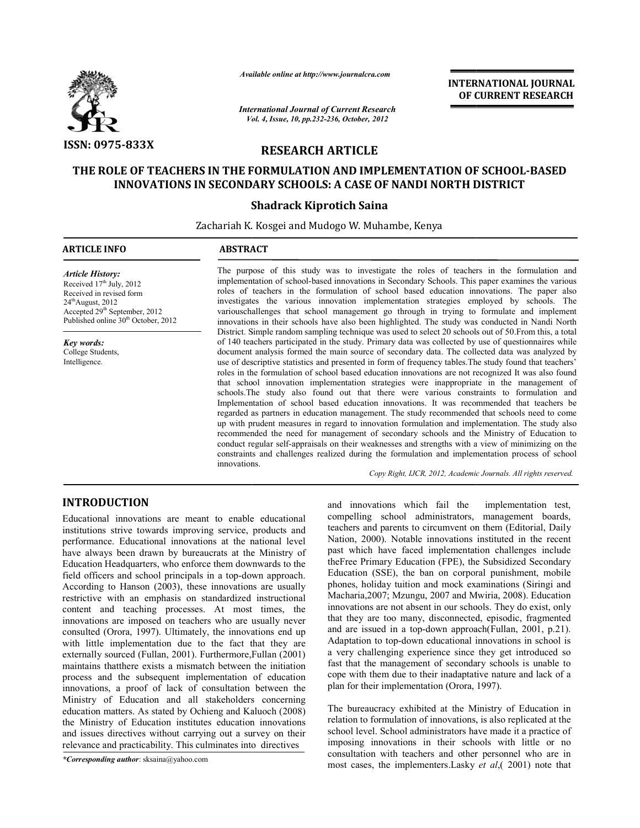

*Available online at http://www.journalcra.com*

*International Journal of Current Research Vol. ternational 4, Issue, 10, pp.232-236, October, <sup>2012</sup>*

**INTERNATIONAL JOURNAL OF CURRENT RESEARCH** 

# **RESEARCH ARTICLE**

# THE ROLE OF TEACHERS IN THE FORMULATION AND IMPLEMENTATION OF SCHOOL-BASED **INNOVATIONS IN SECONDARY SCHOOLS: A CASE OF NANDI NORTH DISTRICT**

# **Shadrack Kiprotich Saina**

Zachariah K. Kosgei and Mudogo W. Muhambe, Kenya<br>'

# **ARTICLE INFO ABSTRACT**

*Article History:* Received  $17<sup>th</sup>$  July, 2012 Received in revised form  $24<sup>th</sup>$ August, 2012 Accepted 29th September, 2012 Published online 30<sup>th</sup> October, 2012

*Key words:* College Students, Intelligence.

The purpose of this study was to investigate the roles of teachers in the formulation and The purpose of this study was to investigate the roles of teachers in the formulation and implementation of school-based innovations in Secondary Schools. This paper examines the various roles of teachers in the formulation of school based education innovations. The paper also investigates the various innovation implementation strategies employed by schools. The variouschallenges that school management go through in trying to formulate and implement innovations in their schools have also been highlighted. The study was conducted in Nandi North District. Simple random sampling technique was used to select 20 schools out of 50.From this, a total of 140 teachers participated in the study. Primary data was collected by use of questionnaires while document analysis formed the main source of secondary data. The collected data was analyzed by use of descriptive statistics and presented in form of frequency tables.The stud roles in the formulation of school based education innovations are not recognized It was also found that school innovation implementation strategies were inappropriate in the management of schools.The study also found out that there Implementation of school based education innovations. It was recommended that teachers be regarded as partners in education management. The study recommended that schools need to come up with prudent measures in regard to innovation formulation and implementation. The study also recommended the need for management of secondary schools and the Ministry of Education to recommended the need for management of secondary schools and the Ministry of Education to conduct regular self-appraisals on their weaknesses and strengths with a view of minimizing on the constraints and challenges realized during the formulation and implementation process of school innovations.<br> *Copy Right, IJCR, 2012, Academic Journals. All rights reserved.* innovations. innovations in their schools have also been highlighted. The study was conducted in Nandi North<br>District. Simple random sampling technique was used to select 20 schools out of 50. From this, a total<br>of 140 teachers partici the main source of secondary data. The collected data was analyzed by and presented in form of frequency tables. The study found that teachers' school based education innovations are not recognized It was also found ppleme Implementation of school based education innovations. It was recommended that teachers be regarded as partners in education management. The study recommended that schools need to come up with prudent measures in regard to ichers in the formulation of school based education innovations. The paper also<br>the various innovation implementation strategies employed by schools. The<br>enges that school management go through in trying to formulate and i roles in the formulation of school based education innovations are not recognized that school innovation implementation strategies were inappropriate in the schools. The study also found out that there were various constra

Copy Right, IJCR, 2012, Academic Journals. All rights reserved.

# **INTRODUCTION**

Educational innovations are meant to enable educational institutions strive towards improving service, products and performance. Educational innovations at the national level have always been drawn by bureaucrats at the Ministry of Education Headquarters, who enforce them downwards to the field officers and school principals in a top-down approach. According to Hanson (2003), these innovations are usually restrictive with an emphasis on standardized instructional field officers and school principals in a top-down approach.<br>According to Hanson (2003), these innovations are usually<br>restrictive with an emphasis on standardized instructional<br>content and teaching processes. At most time innovations are imposed on teachers who are usually never consulted (Orora, 1997). Ultimately, the innovations end up with little implementation due to the fact that they are externally sourced (Fullan, 2001). Furthermore,Fullan (2001) maintains thatthere exists a mismatch between the initiation process and the subsequent implementation of education innovations, a proof of lack of consultation between the Ministry of Education and all stakeholders concerning education matters. As stated by Ochieng and Kaluoch (2008) the Ministry of Education institutes education innovations and issues directives without carrying out a survey on their relevance and practicability. This culminates into directives INTI RODUCTION<br>
and innovations which fail the implementation test,<br>Educational innovations are meant to enable educational<br>
idensehens and parents to circumvent on them (Editorial, Daily<br>
performance. Educational innovati

*\*Corresponding author*: sksaina@yahoo.com

compelling school administrators, management boards, teachers and parents to circumvent on them (Editorial, Daily Nation, 2000). Notable innovations instituted in the recent past which have faced implementation challenges include theFree Primary Education (FPE), the Subsidized Secondary Education (SSE), the ban on corporal punishment, mobile phones, holiday tuition and mock examinations (Siringi and Macharia,2007; Mzungu, 2007 and Mwiria, 2008). innovations are not absent in our schools. They do exist, only that they are too many, disconnected, episodic, fragmented and are issued in a top-down approach(Fullan, 2001, p.21). innovations are not absent in our schools. They do exist, only that they are too many, disconnected, episodic, fragmented and are issued in a top-down approach(Fullan, 2001, p.21). Adaptation to top-down educational innova a very challenging experience since they get introduced so fast that the management of secondary schools is unable to cope with them due to their inadaptative nature and lack of a plan for their implementation (Orora, 1997). implementation test,<br>i, management boards,<br>on them (Editorial, Daily<br>is instituted in the recent Primary Education (FPE), the Subsidized Secondary<br>on (SSE), the ban on corporal punishment, mobile<br>holiday tuition and mock examinations (Siringi and<br>a,2007; Mzungu, 2007 and Mwiria, 2008). Education

The bureaucracy exhibited at the Ministry of Education in relation to formulation of innovations, is also replicated at the school level. School administrators have made it a practice of imposing innovations in their schools with little or no consultation with teachers and other personnel who are in most cases, the implementers.Lasky *et al*,( 2001) note that a very challenging experience since they get introduced so<br>fast that the management of secondary schools is unable to<br>cope with them due to their inadaptative nature and lack of a<br>plan for their implementation (Orora, 1997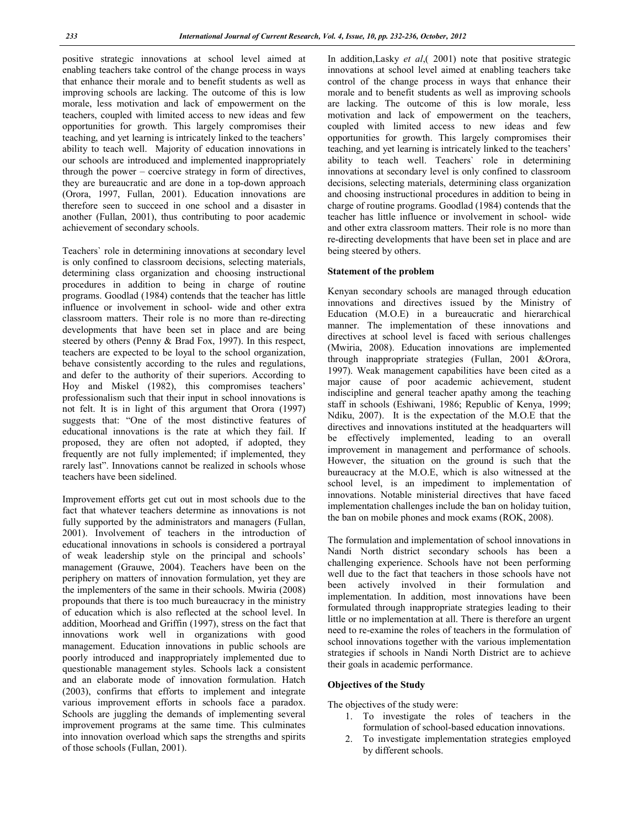positive strategic innovations at school level aimed at enabling teachers take control of the change process in ways that enhance their morale and to benefit students as well as improving schools are lacking. The outcome of this is low morale, less motivation and lack of empowerment on the teachers, coupled with limited access to new ideas and few opportunities for growth. This largely compromises their teaching, and yet learning is intricately linked to the teachers' ability to teach well. Majority of education innovations in our schools are introduced and implemented inappropriately through the power – coercive strategy in form of directives, they are bureaucratic and are done in a top-down approach (Orora, 1997, Fullan, 2001). Education innovations are therefore seen to succeed in one school and a disaster in another (Fullan, 2001), thus contributing to poor academic achievement of secondary schools.

Teachers` role in determining innovations at secondary level is only confined to classroom decisions, selecting materials, determining class organization and choosing instructional procedures in addition to being in charge of routine programs. Goodlad (1984) contends that the teacher has little influence or involvement in school- wide and other extra classroom matters. Their role is no more than re-directing developments that have been set in place and are being steered by others (Penny & Brad Fox, 1997). In this respect, teachers are expected to be loyal to the school organization, behave consistently according to the rules and regulations, and defer to the authority of their superiors. According to Hoy and Miskel (1982), this compromises teachers' professionalism such that their input in school innovations is not felt. It is in light of this argument that Orora (1997) suggests that: "One of the most distinctive features of educational innovations is the rate at which they fail. If proposed, they are often not adopted, if adopted, they frequently are not fully implemented; if implemented, they rarely last". Innovations cannot be realized in schools whose teachers have been sidelined.

Improvement efforts get cut out in most schools due to the fact that whatever teachers determine as innovations is not fully supported by the administrators and managers (Fullan, 2001). Involvement of teachers in the introduction of educational innovations in schools is considered a portrayal of weak leadership style on the principal and schools' management (Grauwe, 2004). Teachers have been on the periphery on matters of innovation formulation, yet they are the implementers of the same in their schools. Mwiria (2008) propounds that there is too much bureaucracy in the ministry of education which is also reflected at the school level. In addition, Moorhead and Griffin (1997), stress on the fact that innovations work well in organizations with good management. Education innovations in public schools are poorly introduced and inappropriately implemented due to questionable management styles. Schools lack a consistent and an elaborate mode of innovation formulation. Hatch (2003), confirms that efforts to implement and integrate various improvement efforts in schools face a paradox. Schools are juggling the demands of implementing several improvement programs at the same time. This culminates into innovation overload which saps the strengths and spirits of those schools (Fullan, 2001).

In addition,Lasky *et al*,( 2001) note that positive strategic innovations at school level aimed at enabling teachers take control of the change process in ways that enhance their morale and to benefit students as well as improving schools are lacking. The outcome of this is low morale, less motivation and lack of empowerment on the teachers, coupled with limited access to new ideas and few opportunities for growth. This largely compromises their teaching, and yet learning is intricately linked to the teachers' ability to teach well. Teachers` role in determining innovations at secondary level is only confined to classroom decisions, selecting materials, determining class organization and choosing instructional procedures in addition to being in charge of routine programs. Goodlad (1984) contends that the teacher has little influence or involvement in school- wide and other extra classroom matters. Their role is no more than re-directing developments that have been set in place and are being steered by others.

#### **Statement of the problem**

Kenyan secondary schools are managed through education innovations and directives issued by the Ministry of Education (M.O.E) in a bureaucratic and hierarchical manner. The implementation of these innovations and directives at school level is faced with serious challenges (Mwiria, 2008). Education innovations are implemented through inappropriate strategies (Fullan, 2001 &Orora, 1997). Weak management capabilities have been cited as a major cause of poor academic achievement, student indiscipline and general teacher apathy among the teaching staff in schools (Eshiwani, 1986; Republic of Kenya, 1999; Ndiku, 2007). It is the expectation of the M.O.E that the directives and innovations instituted at the headquarters will be effectively implemented, leading to an overall improvement in management and performance of schools. However, the situation on the ground is such that the bureaucracy at the M.O.E, which is also witnessed at the school level, is an impediment to implementation of innovations. Notable ministerial directives that have faced implementation challenges include the ban on holiday tuition, the ban on mobile phones and mock exams (ROK, 2008).

The formulation and implementation of school innovations in Nandi North district secondary schools has been a challenging experience. Schools have not been performing well due to the fact that teachers in those schools have not been actively involved in their formulation and implementation. In addition, most innovations have been formulated through inappropriate strategies leading to their little or no implementation at all. There is therefore an urgent need to re-examine the roles of teachers in the formulation of school innovations together with the various implementation strategies if schools in Nandi North District are to achieve their goals in academic performance.

## **Objectives of the Study**

The objectives of the study were:

- 1. To investigate the roles of teachers in the formulation of school-based education innovations.
- 2. To investigate implementation strategies employed by different schools.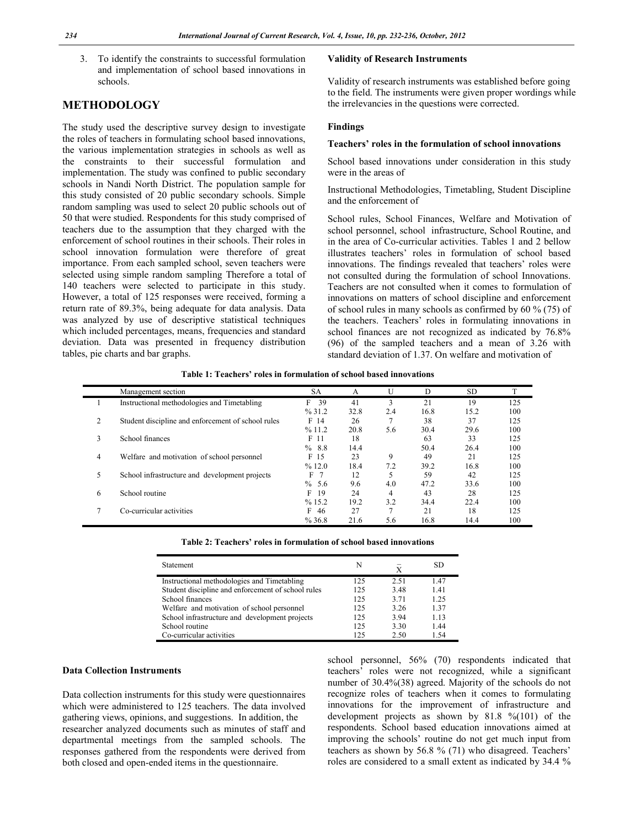3. To identify the constraints to successful formulation and implementation of school based innovations in schools.

# **METHODOLOGY**

The study used the descriptive survey design to investigate the roles of teachers in formulating school based innovations, the various implementation strategies in schools as well as the constraints to their successful formulation and implementation. The study was confined to public secondary schools in Nandi North District. The population sample for this study consisted of 20 public secondary schools. Simple random sampling was used to select 20 public schools out of 50 that were studied. Respondents for this study comprised of teachers due to the assumption that they charged with the enforcement of school routines in their schools. Their roles in school innovation formulation were therefore of great importance. From each sampled school, seven teachers were selected using simple random sampling Therefore a total of 140 teachers were selected to participate in this study. However, a total of 125 responses were received, forming a return rate of 89.3%, being adequate for data analysis. Data was analyzed by use of descriptive statistical techniques which included percentages, means, frequencies and standard deviation. Data was presented in frequency distribution tables, pie charts and bar graphs.

# **Validity of Research Instruments**

Validity of research instruments was established before going to the field. The instruments were given proper wordings while the irrelevancies in the questions were corrected.

#### **Findings**

## **Teachers' roles in the formulation of school innovations**

School based innovations under consideration in this study were in the areas of

Instructional Methodologies, Timetabling, Student Discipline and the enforcement of

School rules, School Finances, Welfare and Motivation of school personnel, school infrastructure, School Routine, and in the area of Co-curricular activities. Tables 1 and 2 bellow illustrates teachers' roles in formulation of school based innovations. The findings revealed that teachers' roles were not consulted during the formulation of school Innovations. Teachers are not consulted when it comes to formulation of innovations on matters of school discipline and enforcement of school rules in many schools as confirmed by 60 % (75) of the teachers. Teachers' roles in formulating innovations in school finances are not recognized as indicated by 76.8% (96) of the sampled teachers and a mean of 3.26 with standard deviation of 1.37. On welfare and motivation of

| Table 1: Teachers' roles in formulation of school based innovations |  |  |  |
|---------------------------------------------------------------------|--|--|--|
|---------------------------------------------------------------------|--|--|--|

|   | Management section                                 | SА      | A    | U   | D    | SD.  |     |
|---|----------------------------------------------------|---------|------|-----|------|------|-----|
|   | Instructional methodologies and Timetabling        | F<br>39 | 41   | 3   | 21   | 19   | 125 |
|   |                                                    | % 31.2  | 32.8 | 2.4 | 16.8 | 15.2 | 100 |
| 2 | Student discipline and enforcement of school rules | F 14    | 26   |     | 38   | 37   | 125 |
|   |                                                    | %11.2   | 20.8 | 5.6 | 30.4 | 29.6 | 100 |
| 3 | School finances                                    | F 11    | 18   |     | 63   | 33   | 125 |
|   |                                                    | %8.8    | 14.4 |     | 50.4 | 26.4 | 100 |
| 4 | Welfare and motivation of school personnel         | F 15    | 23   | 9   | 49   | 21   | 125 |
|   |                                                    | %12.0   | 18.4 | 7.2 | 39.2 | 16.8 | 100 |
| 5 | School infrastructure and development projects     | F       | 12   |     | 59   | 42   | 125 |
|   |                                                    | % 5.6   | 9.6  | 4.0 | 47.2 | 33.6 | 100 |
| 6 | School routine                                     | F<br>19 | 24   | 4   | 43   | 28   | 125 |
|   |                                                    | %15.2   | 19.2 | 3.2 | 34.4 | 22.4 | 100 |
|   | Co-curricular activities                           | F<br>46 | 27   | ┑   | 21   | 18   | 125 |
|   |                                                    | %36.8   | 21.6 | 5.6 | 16.8 | 14.4 | 100 |

|  |  | Table 2: Teachers' roles in formulation of school based innovations |  |
|--|--|---------------------------------------------------------------------|--|
|  |  |                                                                     |  |

| Statement                                          | N   | X    | SD   |
|----------------------------------------------------|-----|------|------|
| Instructional methodologies and Timetabling        | 125 | 2.51 | 1.47 |
| Student discipline and enforcement of school rules | 125 | 3.48 | 1.41 |
| School finances                                    | 125 | 3.71 | 1.25 |
| Welfare and motivation of school personnel         | 125 | 3.26 | 1.37 |
| School infrastructure and development projects     | 125 | 3.94 | 1.13 |
| School routine                                     | 125 | 3.30 | 1.44 |
| Co-curricular activities                           | 125 | 2.50 | 1.54 |

#### **Data Collection Instruments**

Data collection instruments for this study were questionnaires which were administered to 125 teachers. The data involved gathering views, opinions, and suggestions. In addition, the researcher analyzed documents such as minutes of staff and departmental meetings from the sampled schools. The responses gathered from the respondents were derived from both closed and open-ended items in the questionnaire.

school personnel, 56% (70) respondents indicated that teachers' roles were not recognized, while a significant number of 30.4%(38) agreed. Majority of the schools do not recognize roles of teachers when it comes to formulating innovations for the improvement of infrastructure and development projects as shown by 81.8 %(101) of the respondents. School based education innovations aimed at improving the schools' routine do not get much input from teachers as shown by 56.8 % (71) who disagreed. Teachers' roles are considered to a small extent as indicated by 34.4 %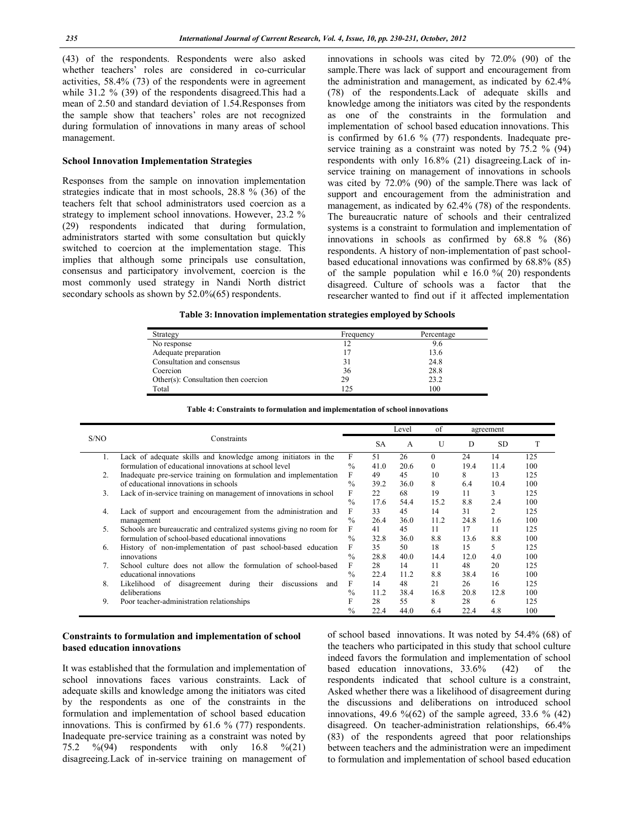(43) of the respondents. Respondents were also asked whether teachers' roles are considered in co-curricular activities, 58.4% (73) of the respondents were in agreement while 31.2 % (39) of the respondents disagreed.This had a mean of 2.50 and standard deviation of 1.54.Responses from the sample show that teachers' roles are not recognized during formulation of innovations in many areas of school management.

## **School Innovation Implementation Strategies**

Responses from the sample on innovation implementation strategies indicate that in most schools, 28.8 % (36) of the teachers felt that school administrators used coercion as a strategy to implement school innovations. However, 23.2 % (29) respondents indicated that during formulation, administrators started with some consultation but quickly switched to coercion at the implementation stage. This implies that although some principals use consultation, consensus and participatory involvement, coercion is the most commonly used strategy in Nandi North district secondary schools as shown by 52.0%(65) respondents.

innovations in schools was cited by 72.0% (90) of the sample.There was lack of support and encouragement from the administration and management, as indicated by 62.4% (78) of the respondents.Lack of adequate skills and knowledge among the initiators was cited by the respondents as one of the constraints in the formulation and implementation of school based education innovations. This is confirmed by 61.6 % (77) respondents. Inadequate preservice training as a constraint was noted by 75.2 % (94) respondents with only 16.8% (21) disagreeing.Lack of inservice training on management of innovations in schools was cited by 72.0% (90) of the sample.There was lack of support and encouragement from the administration and management, as indicated by 62.4% (78) of the respondents. The bureaucratic nature of schools and their centralized systems is a constraint to formulation and implementation of innovations in schools as confirmed by 68.8 % (86) respondents. A history of non-implementation of past schoolbased educational innovations was confirmed by 68.8% (85) of the sample population whil e  $16.0 \%$  (20) respondents disagreed. Culture of schools was a factor that the researcher wanted to find out if it affected implementation

**Table 3: Innovation implementation strategies employed by Schools**

| Strategy                             | Frequency | Percentage |
|--------------------------------------|-----------|------------|
| No response                          | 12        | 9.6        |
| Adequate preparation                 | 17        | 13.6       |
| Consultation and consensus           | 31        | 24.8       |
| Coercion                             | 36        | 28.8       |
| Other(s): Consultation then coercion | 29        | 23.2       |
| Total                                | 125       | 100        |

|      | Other(s): Consultation then coercion<br>Total                                | zУ<br>125     |                        |            | 23.Z<br>100 |      |           |     |
|------|------------------------------------------------------------------------------|---------------|------------------------|------------|-------------|------|-----------|-----|
|      | Table 4: Constraints to formulation and implementation of school innovations |               |                        |            |             |      |           |     |
|      |                                                                              |               |                        | Level      | of          |      | agreement |     |
| S/NO | Constraints                                                                  |               | SА                     | A          | U           | Ð    | SD.       |     |
|      | Lack of adequate skills and knowledge among initiators in the                |               |                        | 26         |             | 24   | 14        | 125 |
|      | formulation of educational innovations at school level                       | $\frac{0}{0}$ | 41.0                   | 20.6       | $\Omega$    | 19.4 | 11.4      | 100 |
|      | Inodequate are service training on formulation and implementation            |               | $\Lambda$ <sup>O</sup> | $\sqrt{5}$ | 10          | Q    | 12        | 175 |

|    |                                                                             |               | $\overline{u}$ | $\overline{1}$ | $\cdot$  | ໋    | ື    |     |
|----|-----------------------------------------------------------------------------|---------------|----------------|----------------|----------|------|------|-----|
|    | Lack of adequate skills and knowledge among initiators in the               | F             | 51             | 26             | $\Omega$ | 24   | 14   | 125 |
|    | formulation of educational innovations at school level                      | $\%$          | 41.0           | 20.6           | $\theta$ | 19.4 | 11.4 | 100 |
| 2. | Inadequate pre-service training on formulation and implementation           | F             | 49             | 45             | 10       | 8    | 13   | 125 |
|    | of educational innovations in schools                                       | $\frac{0}{0}$ | 39.2           | 36.0           | 8        | 6.4  | 10.4 | 100 |
| 3. | Lack of in-service training on management of innovations in school          | F             | 22             | 68             | 19       | 11   | 3    | 125 |
|    |                                                                             | $\frac{0}{0}$ | 17.6           | 54.4           | 15.2     | 8.8  | 2.4  | 100 |
| 4. | Lack of support and encouragement from the administration and               | F             | 33             | 45             | 14       | 31   | 2    | 125 |
|    | management                                                                  | $\frac{0}{0}$ | 26.4           | 36.0           | 11.2     | 24.8 | 1.6  | 100 |
| 5. | Schools are bureaucratic and centralized systems giving no room for         | F             | 41             | 45             | 11       | 17   | 11   | 125 |
|    | formulation of school-based educational innovations                         | $\%$          | 32.8           | 36.0           | 8.8      | 13.6 | 8.8  | 100 |
| 6. | History of non-implementation of past school-based education                | F             | 35             | 50             | 18       | 15   | 5    | 125 |
|    | innovations                                                                 | $\%$          | 28.8           | 40.0           | 14.4     | 12.0 | 4.0  | 100 |
|    | School culture does not allow the formulation of school-based               | F             | 28             | 14             | 11       | 48   | 20   | 125 |
|    | educational innovations                                                     | $\%$          | 22.4           | 11.2           | 8.8      | 38.4 | 16   | 100 |
| 8. | during<br>their<br>Likelihood<br>- of<br>disagreement<br>discussions<br>and | F             | 14             | 48             | 21       | 26   | 16   | 125 |
|    | deliberations                                                               | $\%$          | 11.2           | 38.4           | 16.8     | 20.8 | 12.8 | 100 |
| 9. | Poor teacher-administration relationships                                   | F             | 28             | 55             | 8        | 28   | 6    | 125 |
|    |                                                                             | $\%$          | 22.4           | 44.0           | 6.4      | 22.4 | 4.8  | 100 |
|    |                                                                             |               |                |                |          |      |      |     |

### **Constraints to formulation and implementation of school based education innovations**

It was established that the formulation and implementation of school innovations faces various constraints. Lack of adequate skills and knowledge among the initiators was cited by the respondents as one of the constraints in the formulation and implementation of school based education innovations. This is confirmed by 61.6 % (77) respondents. Inadequate pre-service training as a constraint was noted by 75.2 %(94) respondents with only 16.8 %(21) disagreeing.Lack of in-service training on management of of school based innovations. It was noted by 54.4% (68) of the teachers who participated in this study that school culture indeed favors the formulation and implementation of school based education innovations, 33.6% (42) of the respondents indicated that school culture is a constraint, Asked whether there was a likelihood of disagreement during the discussions and deliberations on introduced school innovations, 49.6 % $(62)$  of the sample agreed, 33.6 %  $(42)$ disagreed. On teacher-administration relationships, 66.4% (83) of the respondents agreed that poor relationships between teachers and the administration were an impediment to formulation and implementation of school based education